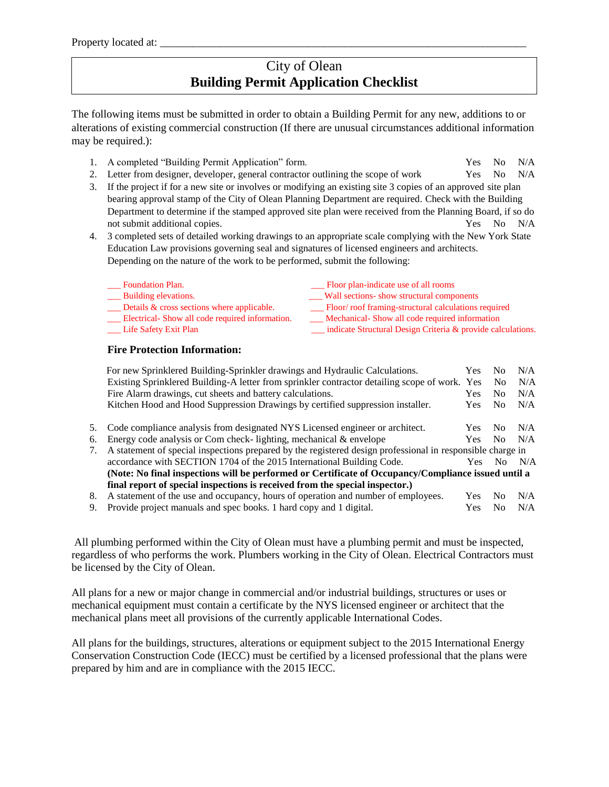## City of Olean **Building Permit Application Checklist**

The following items must be submitted in order to obtain a Building Permit for any new, additions to or alterations of existing commercial construction (If there are unusual circumstances additional information may be required.):

- 1. A completed "Building Permit Application" form. Yes No N/A
- 2. Letter from designer, developer, general contractor outlining the scope of work Yes No N/A
- 3. If the project if for a new site or involves or modifying an existing site 3 copies of an approved site plan bearing approval stamp of the City of Olean Planning Department are required. Check with the Building Department to determine if the stamped approved site plan were received from the Planning Board, if so do not submit additional copies. The set of the set of the set of the set of the set of the set of the set of the  $N/A$
- 4. 3 completed sets of detailed working drawings to an appropriate scale complying with the New York State Education Law provisions governing seal and signatures of licensed engineers and architects. Depending on the nature of the work to be performed, submit the following:
	- \_\_\_ Foundation Plan. \_\_\_ Floor plan-indicate use of all rooms \_\_\_ Building elevations. \_\_\_ Wall sections- show structural components \_\_\_ Details & cross sections where applicable. \_\_\_ Floor/ roof framing-structural calculations required
	- \_\_\_ Electrical- Show all code required information. \_\_\_ Mechanical- Show all code required information
	-
- 
- 
- 
- \_\_\_ Life Safety Exit Plan \_\_\_ indicate Structural Design Criteria & provide calculations.

## **Fire Protection Information:**

|                                                                              | For new Sprinklered Building-Sprinkler drawings and Hydraulic Calculations.                                | Yes        | No.            | N/A |  |
|------------------------------------------------------------------------------|------------------------------------------------------------------------------------------------------------|------------|----------------|-----|--|
|                                                                              | Existing Sprinklered Building-A letter from sprinkler contractor detailing scope of work. Yes              |            | N <sub>0</sub> | N/A |  |
|                                                                              | Fire Alarm drawings, cut sheets and battery calculations.                                                  | <b>Yes</b> | N <sub>0</sub> | N/A |  |
|                                                                              | Kitchen Hood and Hood Suppression Drawings by certified suppression installer.                             | <b>Yes</b> | N <sub>0</sub> | N/A |  |
| 5.                                                                           | Code compliance analysis from designated NYS Licensed engineer or architect.                               | Yes.       | N <sub>0</sub> | N/A |  |
| 6.                                                                           | Energy code analysis or Com check-lighting, mechanical $\&$ envelope                                       | Yes.       | No.            | N/A |  |
|                                                                              | A statement of special inspections prepared by the registered design professional in responsible charge in |            |                |     |  |
|                                                                              | accordance with SECTION 1704 of the 2015 International Building Code.                                      | Yes.       | No.            | N/A |  |
|                                                                              | (Note: No final inspections will be performed or Certificate of Occupancy/Compliance issued until a        |            |                |     |  |
| final report of special inspections is received from the special inspector.) |                                                                                                            |            |                |     |  |
| 8.                                                                           | A statement of the use and occupancy, hours of operation and number of employees.                          | <b>Yes</b> | N <sub>0</sub> | N/A |  |
| 9.                                                                           | Provide project manuals and spec books. 1 hard copy and 1 digital.                                         | Yes.       | N <sub>0</sub> | N/A |  |

All plumbing performed within the City of Olean must have a plumbing permit and must be inspected, regardless of who performs the work. Plumbers working in the City of Olean. Electrical Contractors must be licensed by the City of Olean.

All plans for a new or major change in commercial and/or industrial buildings, structures or uses or mechanical equipment must contain a certificate by the NYS licensed engineer or architect that the mechanical plans meet all provisions of the currently applicable International Codes.

All plans for the buildings, structures, alterations or equipment subject to the 2015 International Energy Conservation Construction Code (IECC) must be certified by a licensed professional that the plans were prepared by him and are in compliance with the 2015 IECC.